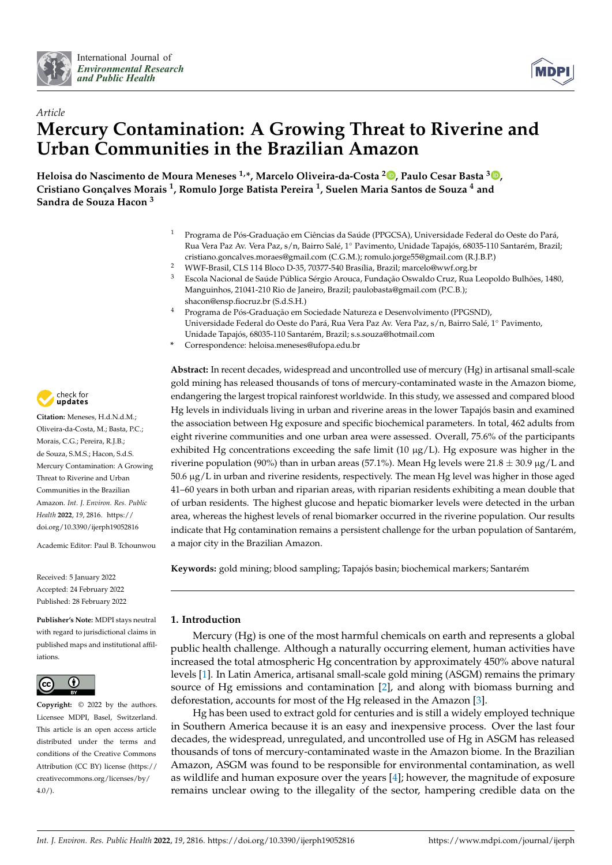



# *Article* **Mercury Contamination: A Growing Threat to Riverine and Urban Communities in the Brazilian Amazon**

**Heloisa do Nascimento de Moura Meneses 1,\*, Marcelo Oliveira-da-Costa <sup>2</sup> [,](https://orcid.org/0000-0002-8004-9079) Paulo Cesar Basta <sup>3</sup> [,](https://orcid.org/0000-0003-0804-0413) Cristiano Gonçalves Morais <sup>1</sup> , Romulo Jorge Batista Pereira <sup>1</sup> , Suelen Maria Santos de Souza <sup>4</sup> and Sandra de Souza Hacon <sup>3</sup>**

- <sup>1</sup> Programa de Pós-Graduação em Ciências da Saúde (PPGCSA), Universidade Federal do Oeste do Pará, Rua Vera Paz Av. Vera Paz, s/n, Bairro Salé, 1◦ Pavimento, Unidade Tapajós, 68035-110 Santarém, Brazil; cristiano.goncalves.moraes@gmail.com (C.G.M.); romulo.jorge55@gmail.com (R.J.B.P.)
- <sup>2</sup> WWF-Brasil, CLS 114 Bloco D-35, 70377-540 Brasília, Brazil; marcelo@wwf.org.br
- <sup>3</sup> Escola Nacional de Saúde Pública Sérgio Arouca, Fundação Oswaldo Cruz, Rua Leopoldo Bulhões, 1480, Manguinhos, 21041-210 Rio de Janeiro, Brazil; paulobasta@gmail.com (P.C.B.); shacon@ensp.fiocruz.br (S.d.S.H.)
- <sup>4</sup> Programa de Pós-Graduação em Sociedade Natureza e Desenvolvimento (PPGSND), Universidade Federal do Oeste do Pará, Rua Vera Paz Av. Vera Paz, s/n, Bairro Salé, 1◦ Pavimento, Unidade Tapajós, 68035-110 Santarém, Brazil; s.s.souza@hotmail.com
- **\*** Correspondence: heloisa.meneses@ufopa.edu.br

**Abstract:** In recent decades, widespread and uncontrolled use of mercury (Hg) in artisanal small-scale gold mining has released thousands of tons of mercury-contaminated waste in the Amazon biome, endangering the largest tropical rainforest worldwide. In this study, we assessed and compared blood Hg levels in individuals living in urban and riverine areas in the lower Tapajós basin and examined the association between Hg exposure and specific biochemical parameters. In total, 462 adults from eight riverine communities and one urban area were assessed. Overall, 75.6% of the participants exhibited Hg concentrations exceeding the safe limit  $(10 \mu g/L)$ . Hg exposure was higher in the riverine population (90%) than in urban areas (57.1%). Mean Hg levels were  $21.8 \pm 30.9 \,\mu g/L$  and 50.6 µg/L in urban and riverine residents, respectively. The mean Hg level was higher in those aged 41–60 years in both urban and riparian areas, with riparian residents exhibiting a mean double that of urban residents. The highest glucose and hepatic biomarker levels were detected in the urban area, whereas the highest levels of renal biomarker occurred in the riverine population. Our results indicate that Hg contamination remains a persistent challenge for the urban population of Santarém, a major city in the Brazilian Amazon.

**Keywords:** gold mining; blood sampling; Tapajós basin; biochemical markers; Santarém

# **1. Introduction**

Mercury (Hg) is one of the most harmful chemicals on earth and represents a global public health challenge. Although a naturally occurring element, human activities have increased the total atmospheric Hg concentration by approximately 450% above natural levels [\[1\]](#page-9-0). In Latin America, artisanal small-scale gold mining (ASGM) remains the primary source of Hg emissions and contamination [\[2\]](#page-9-1), and along with biomass burning and deforestation, accounts for most of the Hg released in the Amazon [\[3\]](#page-9-2).

Hg has been used to extract gold for centuries and is still a widely employed technique in Southern America because it is an easy and inexpensive process. Over the last four decades, the widespread, unregulated, and uncontrolled use of Hg in ASGM has released thousands of tons of mercury-contaminated waste in the Amazon biome. In the Brazilian Amazon, ASGM was found to be responsible for environmental contamination, as well as wildlife and human exposure over the years [\[4\]](#page-9-3); however, the magnitude of exposure remains unclear owing to the illegality of the sector, hampering credible data on the



**Citation:** Meneses, H.d.N.d.M.; Oliveira-da-Costa, M.; Basta, P.C.; Morais, C.G.; Pereira, R.J.B.; de Souza, S.M.S.; Hacon, S.d.S. Mercury Contamination: A Growing Threat to Riverine and Urban Communities in the Brazilian Amazon. *Int. J. Environ. Res. Public Health* **2022**, *19*, 2816. [https://](https://doi.org/10.3390/ijerph19052816) [doi.org/10.3390/ijerph19052816](https://doi.org/10.3390/ijerph19052816)

Academic Editor: Paul B. Tchounwou

Received: 5 January 2022 Accepted: 24 February 2022 Published: 28 February 2022

**Publisher's Note:** MDPI stays neutral with regard to jurisdictional claims in published maps and institutional affiliations.



**Copyright:** © 2022 by the authors. Licensee MDPI, Basel, Switzerland. This article is an open access article distributed under the terms and conditions of the Creative Commons Attribution (CC BY) license [\(https://](https://creativecommons.org/licenses/by/4.0/) [creativecommons.org/licenses/by/](https://creativecommons.org/licenses/by/4.0/)  $4.0/$ ).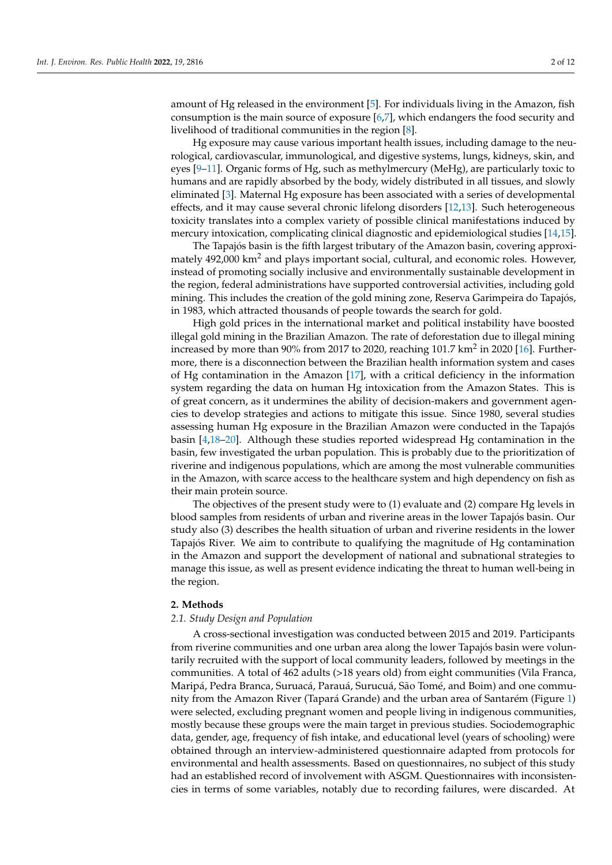amount of Hg released in the environment [\[5\]](#page-9-4). For individuals living in the Amazon, fish consumption is the main source of exposure [\[6,](#page-9-5)[7\]](#page-9-6), which endangers the food security and livelihood of traditional communities in the region [\[8\]](#page-10-0).

Hg exposure may cause various important health issues, including damage to the neurological, cardiovascular, immunological, and digestive systems, lungs, kidneys, skin, and eyes [\[9](#page-10-1)[–11\]](#page-10-2). Organic forms of Hg, such as methylmercury (MeHg), are particularly toxic to humans and are rapidly absorbed by the body, widely distributed in all tissues, and slowly eliminated [\[3\]](#page-9-2). Maternal Hg exposure has been associated with a series of developmental effects, and it may cause several chronic lifelong disorders [\[12](#page-10-3)[,13\]](#page-10-4). Such heterogeneous toxicity translates into a complex variety of possible clinical manifestations induced by mercury intoxication, complicating clinical diagnostic and epidemiological studies [\[14](#page-10-5)[,15\]](#page-10-6).

The Tapajós basin is the fifth largest tributary of the Amazon basin, covering approximately  $492,000 \text{ km}^2$  and plays important social, cultural, and economic roles. However, instead of promoting socially inclusive and environmentally sustainable development in the region, federal administrations have supported controversial activities, including gold mining. This includes the creation of the gold mining zone, Reserva Garimpeira do Tapajós, in 1983, which attracted thousands of people towards the search for gold.

High gold prices in the international market and political instability have boosted illegal gold mining in the Brazilian Amazon. The rate of deforestation due to illegal mining increased by more than 90% from 2017 to 2020, reaching 101.7 km<sup>2</sup> in 2020 [\[16\]](#page-10-7). Furthermore, there is a disconnection between the Brazilian health information system and cases of Hg contamination in the Amazon [\[17\]](#page-10-8), with a critical deficiency in the information system regarding the data on human Hg intoxication from the Amazon States. This is of great concern, as it undermines the ability of decision-makers and government agencies to develop strategies and actions to mitigate this issue. Since 1980, several studies assessing human Hg exposure in the Brazilian Amazon were conducted in the Tapajós basin [\[4](#page-9-3)[,18](#page-10-9)[–20\]](#page-10-10). Although these studies reported widespread Hg contamination in the basin, few investigated the urban population. This is probably due to the prioritization of riverine and indigenous populations, which are among the most vulnerable communities in the Amazon, with scarce access to the healthcare system and high dependency on fish as their main protein source.

The objectives of the present study were to (1) evaluate and (2) compare Hg levels in blood samples from residents of urban and riverine areas in the lower Tapajós basin. Our study also (3) describes the health situation of urban and riverine residents in the lower Tapajós River. We aim to contribute to qualifying the magnitude of Hg contamination in the Amazon and support the development of national and subnational strategies to manage this issue, as well as present evidence indicating the threat to human well-being in the region.

#### **2. Methods**

#### *2.1. Study Design and Population*

A cross-sectional investigation was conducted between 2015 and 2019. Participants from riverine communities and one urban area along the lower Tapajós basin were voluntarily recruited with the support of local community leaders, followed by meetings in the communities. A total of 462 adults (>18 years old) from eight communities (Vila Franca, Maripá, Pedra Branca, Suruacá, Parauá, Surucuá, São Tomé, and Boim) and one community from the Amazon River (Tapará Grande) and the urban area of Santarém (Figure [1\)](#page-2-0) were selected, excluding pregnant women and people living in indigenous communities, mostly because these groups were the main target in previous studies. Sociodemographic data, gender, age, frequency of fish intake, and educational level (years of schooling) were obtained through an interview-administered questionnaire adapted from protocols for environmental and health assessments. Based on questionnaires, no subject of this study had an established record of involvement with ASGM. Questionnaires with inconsistencies in terms of some variables, notably due to recording failures, were discarded. At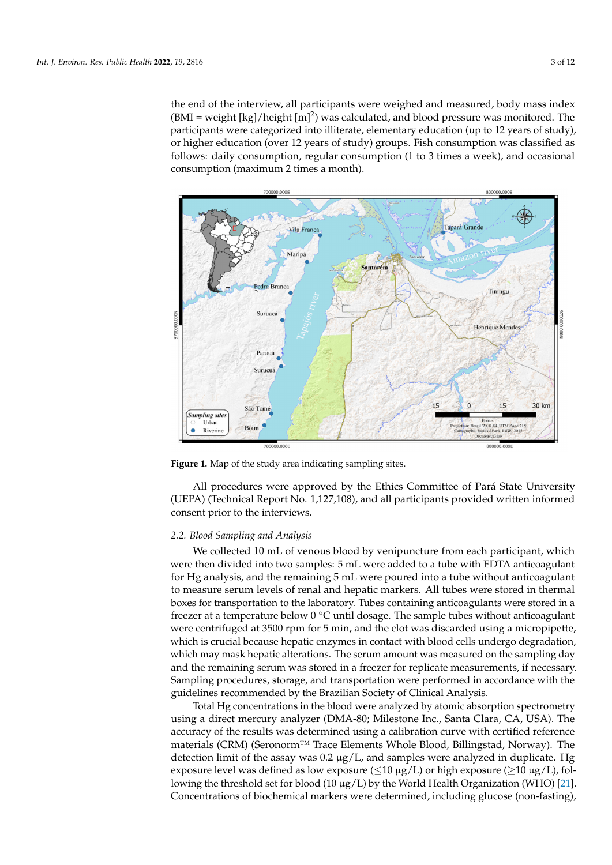the end of the interview, all participants were weighed and measured, body mass index  $(BMI = weight [kg]/height [m]^2)$  was calculated, and blood pressure was monitored. The participants were categorized into illiterate, elementary education (up to 12 years of study), or higher education (over 12 years of study) groups. Fish consumption was classified as follows: daily consumption, regular consumption (1 to 3 times a week), and occasional consumption (maximum 2 times a month).

measured, body mass index (BMI  $\mu$  ) was calculated, and blood  $\mu$ 

<span id="page-2-0"></span>

**Figure 1.** Map of the study area indicating sampling sites. **Figure 1.** Map of the study area indicating sampling sites.

*2.2. Blood Sampling and Analysis*  (UEPA) (Technical Report No. 1,127,108), and all participants provided written informed consent prior to the interviews. All procedures were approved by the Ethics Committee of Pará State University

# for Hg analysis, and the remaining 5 mL were poured into a tube without anticoagulant *2.2. Blood Sampling and Analysis*

We collected 10 mL of venous blood by venipuncture from each participant, which were then divided into two samples: 5 mL were added to a tube with EDTA anticoagulant for Hg analysis, and the remaining 5 mL were poured into a tube without anticoagulant to measure serum levels of renal and hepatic markers. All tubes were stored in thermal boxes for transportation to the laboratory. Tubes containing anticoagulants were stored in a freezer at a temperature below 0 °C until dosage. The sample tubes without anticoagulant were centrifuged at 3500 rpm for 5 min, and the clot was discarded using a micropipette, which is crucial because hepatic enzymes in contact with blood cells undergo degradation, which may mask hepatic alterations. The serum amount was measured on the sampling day and the remaining serum was stored in a freezer for replicate measurements, if necessary. Sampling procedures, storage, and transportation were performed in accordance with the guidelines recommended by the Brazilian Society of Clinical Analysis.

Total Hg concentrations in the blood were analyzed by atomic absorption spectrometry using a direct mercury analyzer (DMA-80; Milestone Inc., Santa Clara, CA, USA). The accuracy of the results was determined using a calibration curve with certified reference materials (CRM) (Seronorm™ Trace Elements Whole Blood, Billingstad, Norway). The detection limit of the assay was  $0.2 \mu g/L$ , and samples were analyzed in duplicate. Hg exposure level was defined as low exposure ( $\leq 10 \mu g/L$ ) or high exposure ( $\geq 10 \mu g/L$ ), following the threshold set for blood (10  $\mu$ g/L) by the World Health Organization (WHO) [\[21\]](#page-10-11). Concentrations of biochemical markers were determined, including glucose (non-fasting),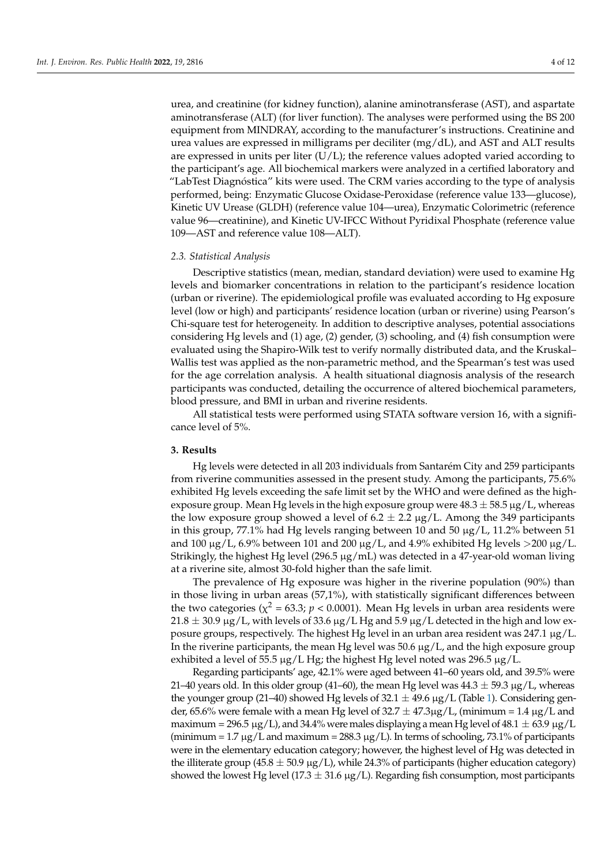urea, and creatinine (for kidney function), alanine aminotransferase (AST), and aspartate aminotransferase (ALT) (for liver function). The analyses were performed using the BS 200 equipment from MINDRAY, according to the manufacturer's instructions. Creatinine and urea values are expressed in milligrams per deciliter  $(mg/dL)$ , and AST and ALT results are expressed in units per liter  $(U/L)$ ; the reference values adopted varied according to the participant's age. All biochemical markers were analyzed in a certified laboratory and "LabTest Diagnóstica" kits were used. The CRM varies according to the type of analysis performed, being: Enzymatic Glucose Oxidase-Peroxidase (reference value 133—glucose), Kinetic UV Urease (GLDH) (reference value 104—urea), Enzymatic Colorimetric (reference value 96—creatinine), and Kinetic UV-IFCC Without Pyridixal Phosphate (reference value 109—AST and reference value 108—ALT).

### *2.3. Statistical Analysis*

Descriptive statistics (mean, median, standard deviation) were used to examine Hg levels and biomarker concentrations in relation to the participant's residence location (urban or riverine). The epidemiological profile was evaluated according to Hg exposure level (low or high) and participants' residence location (urban or riverine) using Pearson's Chi-square test for heterogeneity. In addition to descriptive analyses, potential associations considering Hg levels and (1) age, (2) gender, (3) schooling, and (4) fish consumption were evaluated using the Shapiro-Wilk test to verify normally distributed data, and the Kruskal– Wallis test was applied as the non-parametric method, and the Spearman's test was used for the age correlation analysis. A health situational diagnosis analysis of the research participants was conducted, detailing the occurrence of altered biochemical parameters, blood pressure, and BMI in urban and riverine residents.

All statistical tests were performed using STATA software version 16, with a significance level of 5%.

## **3. Results**

Hg levels were detected in all 203 individuals from Santarém City and 259 participants from riverine communities assessed in the present study. Among the participants, 75.6% exhibited Hg levels exceeding the safe limit set by the WHO and were defined as the highexposure group. Mean Hg levels in the high exposure group were  $48.3 \pm 58.5$   $\mu$ g/L, whereas the low exposure group showed a level of 6.2  $\pm$  2.2  $\mu$ g/L. Among the 349 participants in this group, 77.1% had Hg levels ranging between 10 and 50 µg/L, 11.2% between 51 and 100  $\mu$ g/L, 6.9% between 101 and 200  $\mu$ g/L, and 4.9% exhibited Hg levels >200  $\mu$ g/L. Strikingly, the highest Hg level (296.5  $\mu$ g/mL) was detected in a 47-year-old woman living at a riverine site, almost 30-fold higher than the safe limit.

The prevalence of Hg exposure was higher in the riverine population (90%) than in those living in urban areas (57,1%), with statistically significant differences between the two categories ( $\chi^2$  = 63.3;  $p$  < 0.0001). Mean Hg levels in urban area residents were  $21.8 \pm 30.9$   $\mu$ g/L, with levels of 33.6  $\mu$ g/L Hg and 5.9  $\mu$ g/L detected in the high and low exposure groups, respectively. The highest Hg level in an urban area resident was 247.1 µg/L. In the riverine participants, the mean Hg level was  $50.6 \mu g/L$ , and the high exposure group exhibited a level of 55.5  $\mu$ g/L Hg; the highest Hg level noted was 296.5  $\mu$ g/L.

Regarding participants' age, 42.1% were aged between 41–60 years old, and 39.5% were 21–40 years old. In this older group (41–60), the mean Hg level was  $44.3 \pm 59.3$  µg/L, whereas the younger group (21–40) showed Hg levels of 32.1  $\pm$  49.6  $\mu$ g/L (Table [1\)](#page-4-0). Considering gender, 65.6% were female with a mean Hg level of  $32.7 \pm 47.3 \mu$ g/L, (minimum = 1.4  $\mu$ g/L and maximum = 296.5  $\mu$ g/L), and 34.4% were males displaying a mean Hg level of 48.1  $\pm$  63.9  $\mu$ g/L (minimum = 1.7  $\mu$ g/L and maximum = 288.3  $\mu$ g/L). In terms of schooling, 73.1% of participants were in the elementary education category; however, the highest level of Hg was detected in the illiterate group (45.8  $\pm$  50.9  $\mu$ g/L), while 24.3% of participants (higher education category) showed the lowest Hg level (17.3  $\pm$  31.6  $\mu$ g/L). Regarding fish consumption, most participants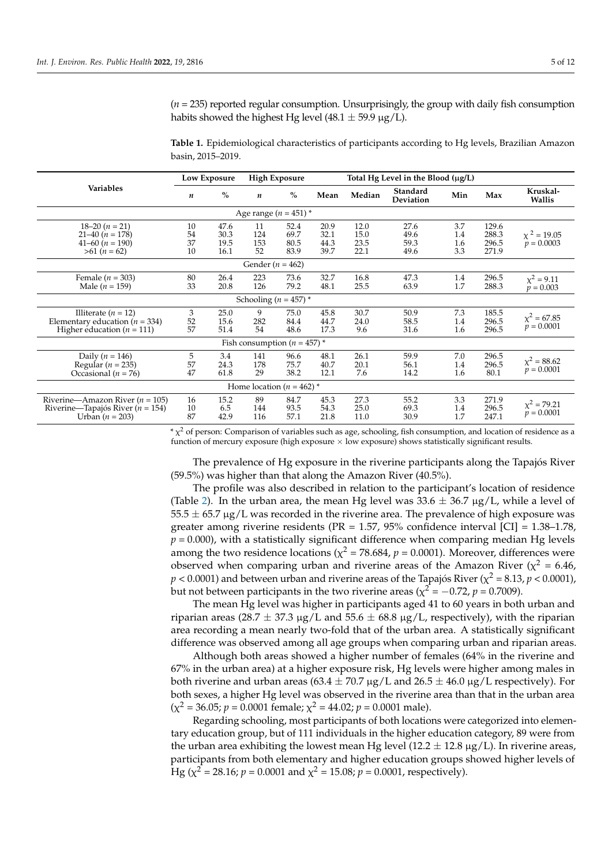**Variables Low Exposure High Exposure Total Hg Level in the Blood (**µ**g/L)** *<sup>n</sup>* **%** *<sup>n</sup>* **% Mean Median Standard Deviation Min Max Kruskal-Wallis** Age range  $(n = 451)$  \* 18–20 (*n* = 21) 10 47.6 11 52.4 20.9 12.0 27.6 3.7 129.6<br>
21–40 (*n* = 178) 54 30.3 124 69.7 32.1 15.0 49.6 1.4 288.3  $\chi^2 = 19.05$  $p = 0.0003$ 21–40 (*n* = 178) 54 30.3 124 69.7 32.1 15.0 49.6 1.4 288.3 41–60 (*n* = 190) 37 19.5 153 80.5 44.3 23.5 59.3 1.6 296.5<br>  $>61 (n = 62)$  10 16.1 52 83.9 39.7 22.1 49.6 3.3 271.9 >61 (*n* = 62) 10 16.1 52 83.9 39.7 22.1 49.6 3.3 271.9 Gender (*n* = 462) Female (*n* = 303) 80 26.4 223 73.6 32.7 16.8 47.3 1.4 296.5  $\chi^2 = 9.11$ <br>
Male (*n* = 159) 33 20.8 126 79.2 48.1 25.5 63.9 1.7 288.3  $p = 0.003$  $x^2 = 9.11$ Male (*n* = 159) 33 20.8 126 79.2 48.1 25.5 63.9 1.7 288.3 *p* = 0.003 Schooling ( $n = 457$ ) Illiterate (*n* = 12) 3 25.0 9 75.0 45.8 30.7 50.9 7.3 185.5  $\chi^2 = 67.85$ *Elementary education (n* = 334) 52 15.6 282 84.4 44.7 24.0 58.5 1.4 296.5  $\chi^2 = 67.85$ <br>Higher education (*n* = 111) 57 51.4 54 48.6 17.3 9.6 31.6 1.6 296.5  $p = 0.0001$ Higher education ( $n = 111$ ) Fish consumption  $(n = 457)$ <sup>\*</sup> Daily (*n* = 146) 5 3.4 141 96.6 48.1 26.1 59.9 7.0 296.5<br>Regular (*n* = 235) 57 24.3 178 75.7 40.7 20.1 56.1 1.4 296.5  $\chi^2 = 88.62$ *p* = 0.0001 Regular (*n* = 235) 57 24.3 178 75.7 40.7 20.1 56.1 1.4 296.5  $\chi$  = 0.002<br>Decasional (*n* = 76) 47 61.8 29 38.2 12.1 7.6 14.2 1.6 80.1  $p = 0.0001$ Occasional (*n* = 76) 47 61.8 29 38.2 12.1 7.6 14.2 1.6 80.1 Home location  $(n = 462)$ <sup>\*</sup> Riverine—Amazon River (*n* = 105) 16 15.2 89 84.7 45.3 27.3 55.2 3.3 271.9<br>Riverine—Tapajós River (*n* = 154) 10 6.5 144 93.5 54.3 25.0 69.3 1.4 296.5  $\chi^2 = 79.21$ *p* = 154) 10 6.5 144 93.5 54.3 25.0 69.3 1.4 296.5  $X = 79.21$ <br> **p** = 0.0001 6.5 144 93.5 54.3 25.0 69.3 1.4 296.5  $X = 79.21$ <br> **p** = 0.0001  $Urban (n = 203)$ 

(*n* = 235) reported regular consumption. Unsurprisingly, the group with daily fish consumption habits showed the highest Hg level (48.1  $\pm$  59.9  $\mu$ g/L).

<span id="page-4-0"></span>**Table 1.** Epidemiological characteristics of participants according to Hg levels, Brazilian Amazon basin, 2015–2019.

 $*\chi^2$  of person: Comparison of variables such as age, schooling, fish consumption, and location of residence as a function of mercury exposure (high exposure  $\times$  low exposure) shows statistically significant results.

The prevalence of Hg exposure in the riverine participants along the Tapajós River (59.5%) was higher than that along the Amazon River (40.5%).

The profile was also described in relation to the participant's location of residence (Table [2\)](#page-5-0). In the urban area, the mean Hg level was  $33.6 \pm 36.7 \mu$ g/L, while a level of  $55.5 \pm 65.7 \,\mu$ g/L was recorded in the riverine area. The prevalence of high exposure was greater among riverine residents ( $PR = 1.57$ , 95% confidence interval  $\text{[CI]} = 1.38 \text{--} 1.78$ ,  $p = 0.000$ , with a statistically significant difference when comparing median Hg levels among the two residence locations ( $\chi^2$  = 78.684,  $p$  = 0.0001). Moreover, differences were observed when comparing urban and riverine areas of the Amazon River ( $\chi^2$  = 6.46,  $p < 0.0001$ ) and between urban and riverine areas of the Tapajós River ( $\chi^2$  = 8.13,  $p$  < 0.0001), but not between participants in the two riverine areas ( $\chi^2$  =  $-0.72$ ,  $p$  = 0.7009).

The mean Hg level was higher in participants aged 41 to 60 years in both urban and riparian areas (28.7  $\pm$  37.3 µg/L and 55.6  $\pm$  68.8 µg/L, respectively), with the riparian area recording a mean nearly two-fold that of the urban area. A statistically significant difference was observed among all age groups when comparing urban and riparian areas.

Although both areas showed a higher number of females (64% in the riverine and 67% in the urban area) at a higher exposure risk, Hg levels were higher among males in both riverine and urban areas (63.4  $\pm$  70.7 µg/L and 26.5  $\pm$  46.0 µg/L respectively). For both sexes, a higher Hg level was observed in the riverine area than that in the urban area  $(\chi^2 = 36.05; p = 0.0001$  female;  $\chi^2 = 44.02; p = 0.0001$  male).

Regarding schooling, most participants of both locations were categorized into elementary education group, but of 111 individuals in the higher education category, 89 were from the urban area exhibiting the lowest mean Hg level (12.2  $\pm$  12.8  $\mu$ g/L). In riverine areas, participants from both elementary and higher education groups showed higher levels of Hg ( $\chi^2$  = 28.16;  $p$  = 0.0001 and  $\chi^2$  = 15.08;  $p$  = 0.0001, respectively).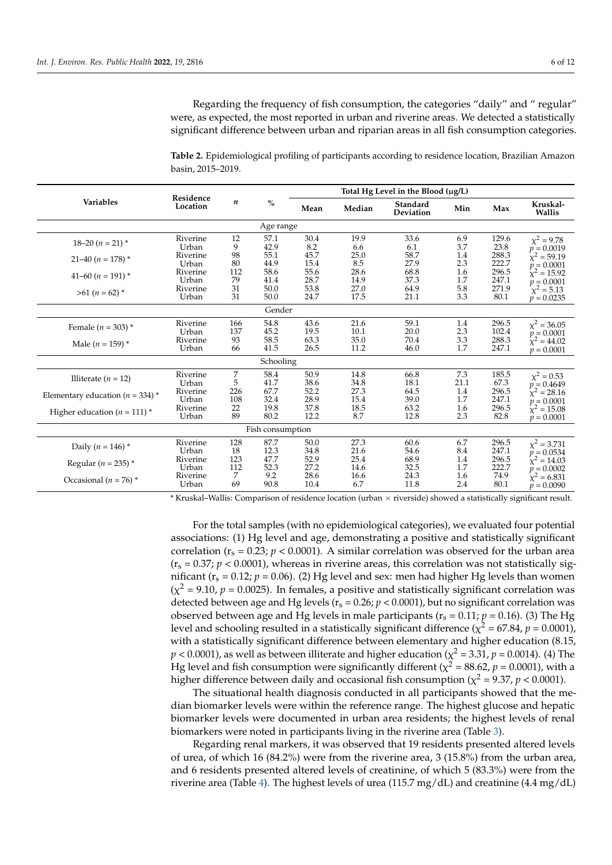Regarding the frequency of fish consumption, the categories "daily" and " regular" were, as expected, the most reported in urban and riverine areas. We detected a statistically significant difference between urban and riparian areas in all fish consumption categories.

<span id="page-5-0"></span>

| Table 2. Epidemiological profiling of participants according to residence location, Brazilian Amazon |  |
|------------------------------------------------------------------------------------------------------|--|
| basin, 2015–2019.                                                                                    |  |

|                                      | Residence<br>Location | $\boldsymbol{n}$ | $\frac{0}{0}$ |              |              |                              |            |                |                                  |
|--------------------------------------|-----------------------|------------------|---------------|--------------|--------------|------------------------------|------------|----------------|----------------------------------|
| <b>Variables</b>                     |                       |                  |               | Mean         | Median       | Standard<br><b>Deviation</b> | Min        | Max            | Kruskal-<br>Wallis               |
| Age range                            |                       |                  |               |              |              |                              |            |                |                                  |
| $18 - 20$ $(n = 21)$ *               | Riverine              | 12               | 57.1          | 30.4         | 19.9         | 33.6                         | 6.9        | 129.6          | $\chi^2 = 9.78$                  |
|                                      | Urban                 | 9                | 42.9          | 8.2          | 6.6          | 6.1                          | 3.7        | 23.8           | $p = 0.0019$<br>$x^2 = 59.19$    |
| $21-40 (n = 178)$ *                  | Riverine<br>Urban     | 98<br>80         | 55.1<br>44.9  | 45.7<br>15.4 | 25.0<br>8.5  | 58.7<br>27.9                 | 1.4<br>2.3 | 288.3<br>222.7 | $p = 0.0001$                     |
| 41-60 ( $n = 191$ ) *                | Riverine              | 112              | 58.6          | 55.6         | 28.6         | 68.8                         | 1.6        | 296.5          | $x^2 = 15.92$                    |
|                                      | Urban                 | 79               | 41.4          | 28.7         | 14.9         | 37.3                         | 1.7        | 247.1          | $p = 0.0001$                     |
| $>61 (n = 62)^{*}$                   | Riverine              | 31               | 50.0          | 53.8         | 27.0         | 64.9                         | 5.8        | 271.9          | $\chi^2 = 5.13$                  |
|                                      | Urban                 | 31               | 50.0          | 24.7         | 17.5         | 21.1                         | 3.3        | 80.1           | $p = 0.0235$                     |
|                                      |                       |                  | Gender        |              |              |                              |            |                |                                  |
| Female ( $n = 303$ ) *               | Riverine              | 166              | 54.8          | 43.6         | 21.6         | 59.1                         | 1.4        | 296.5          | $\chi^2 = 36.05$                 |
|                                      | Urban                 | 137              | 45.2          | 19.5         | 10.1         | 20.0                         | 2.3        | 102.4          | $p = 0.0001$                     |
| Male ( $n = 159$ ) *                 | Riverine              | 93               | 58.5          | 63.3         | 35.0         | 70.4                         | 3.3        | 288.3          | $x^2 = 44.02$                    |
|                                      | Urban                 | 66               | 41.5          | 26.5         | 11.2         | 46.0                         | 1.7        | 247.1          | $p = 0.0001$                     |
| Schooling                            |                       |                  |               |              |              |                              |            |                |                                  |
| Illiterate ( $n = 12$ )              | Riverine              | 7                | 58.4          | 50.9         | 14.8         | 66.8                         | 7.3        | 185.5          | $\chi^2 = 0.53$                  |
|                                      | Urban                 | 5                | 41.7          | 38.6         | 34.8         | 18.1                         | 21.1       | 67.3           | $p = 0.4649$                     |
| Elementary education ( $n = 334$ ) * | Riverine              | 226              | 67.7          | 52.2         | 27.3         | 64.5                         | 1.4        | 296.5          | $x^2 = 28.16$                    |
|                                      | Urban                 | 108              | 32.4          | 28.9         | 15.4         | 39.0                         | 1.7        | 247.1          | $p = 0.0001$                     |
| Higher education ( $n = 111$ ) *     | Riverine              | 22               | 19.8          | 37.8         | 18.5         | 63.2                         | 1.6        | 296.5          | $x^2 = 15.08$                    |
|                                      | Urban                 | 89               | 80.2          | 12.2         | 8.7          | 12.8                         | 2.3        | 82.8           | $p = 0.0001$                     |
| Fish consumption                     |                       |                  |               |              |              |                              |            |                |                                  |
| Daily ( $n = 146$ ) *                | Riverine<br>Urban     | 128<br>18        | 87.7<br>12.3  | 50.0<br>34.8 | 27.3<br>21.6 | 60.6<br>54.6                 | 6.7<br>8.4 | 296.5<br>247.1 | $\chi^2 = 3.731$                 |
| Regular ( $n = 235$ ) *              | Riverine              | 123              | 47.7          | 52.9         | 25.4         | 68.9                         | 1.4        | 296.5          | $p = 0.0534$<br>$\chi^2 = 14.03$ |
|                                      | Urban                 | 112              | 52.3          | 27.2         | 14.6         | 32.5                         | 1.7        | 222.7          | $p = 0.0002$                     |
| Occasional ( $n = 76$ ) *            | Riverine              | 7                | 9.2           | 28.6         | 16.6         | 24.3                         | 1.6        | 74.9           | $x^2 = 6.831$                    |
|                                      | Urban                 | 69               | 90.8          | 10.4         | 6.7          | 11.8                         | 2.4        | 80.1           | $p = 0.0090$                     |

\* Kruskal–Wallis: Comparison of residence location (urban × riverside) showed a statistically significant result.

For the total samples (with no epidemiological categories), we evaluated four potential associations: (1) Hg level and age, demonstrating a positive and statistically significant correlation ( $r_s = 0.23$ ;  $p < 0.0001$ ). A similar correlation was observed for the urban area  $(r<sub>s</sub> = 0.37; p < 0.0001)$ , whereas in riverine areas, this correlation was not statistically significant ( $r_s = 0.12$ ;  $p = 0.06$ ). (2) Hg level and sex: men had higher Hg levels than women  $(\chi^2 = 9.10, p = 0.0025)$ . In females, a positive and statistically significant correlation was detected between age and Hg levels ( $r_s = 0.26$ ;  $p < 0.0001$ ), but no significant correlation was observed between age and Hg levels in male participants ( $r_s = 0.11$ ;  $p = 0.16$ ). (3) The Hg level and schooling resulted in a statistically significant difference ( $\chi^2$  = 67.84*, p* = 0.0001), with a statistically significant difference between elementary and higher education (8.15,  $p < 0.0001$ ), as well as between illiterate and higher education ( $\chi^2$  = 3.31,  $p$  = 0.0014). (4) The Hg level and fish consumption were significantly different ( $\chi^2$  = 88.62,  $p$  = 0.0001), with a higher difference between daily and occasional fish consumption ( $\chi^2$  = 9.37,  $p$  < 0.0001).

The situational health diagnosis conducted in all participants showed that the median biomarker levels were within the reference range. The highest glucose and hepatic biomarker levels were documented in urban area residents; the highest levels of renal biomarkers were noted in participants living in the riverine area (Table [3\)](#page-6-0).

Regarding renal markers, it was observed that 19 residents presented altered levels of urea, of which 16 (84.2%) were from the riverine area, 3 (15.8%) from the urban area, and 6 residents presented altered levels of creatinine, of which 5 (83.3%) were from the riverine area (Table [4\)](#page-6-1). The highest levels of urea (115.7 mg/dL) and creatinine (4.4 mg/dL)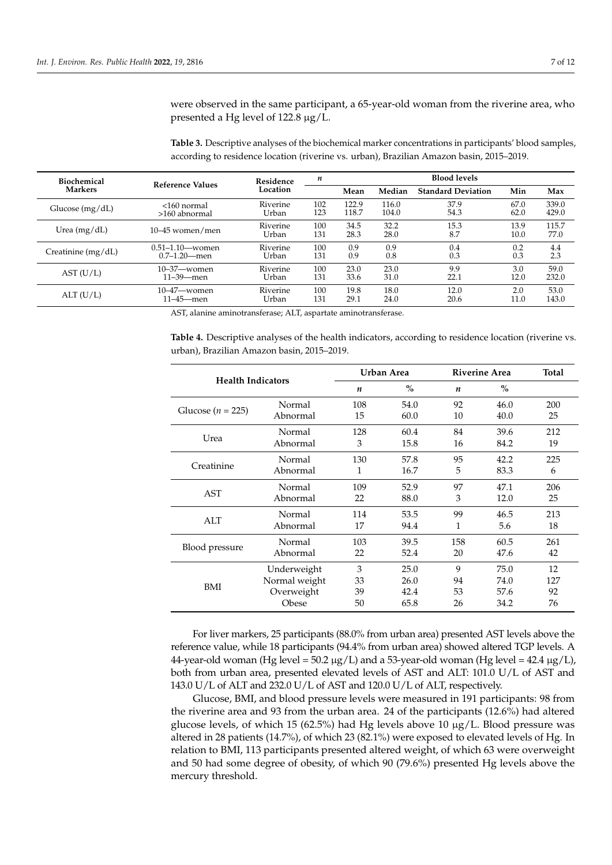were observed in the same participant, a 65-year-old woman from the riverine area, who presented a Hg level of 122.8 µg/L.

<span id="page-6-0"></span>**Table 3.** Descriptive analyses of the biochemical marker concentrations in participants' blood samples, according to residence location (riverine vs. urban), Brazilian Amazon basin, 2015–2019.

| <b>Biochemical</b>   | Reference Values    | Residence         | n          | <b>Blood levels</b> |              |                           |              |               |  |
|----------------------|---------------------|-------------------|------------|---------------------|--------------|---------------------------|--------------|---------------|--|
| <b>Markers</b>       |                     | Location          |            | Mean                | Median       | <b>Standard Deviation</b> | Min          | Max           |  |
| Glucose $(mg/dL)$    | <160 normal         | Riverine          | 102        | 122.9               | 116.0        | 37.9                      | 67.0         | 339.0         |  |
|                      | $>160$ abnormal     | Urban             | 123        | 118.7               | 104.0        | 54.3                      | 62.0         | 429.0         |  |
| Urea $(mg/dL)$       | $10-45$ women/men   | Riverine<br>Urban | 100<br>131 | 34.5<br>28.3        | 32.2<br>28.0 | 15.3<br>8.7               | 13.9<br>10.0 | 115.7<br>77.0 |  |
| Creatinine $(mg/dL)$ | $0.51 - 1.10$ women | Riverine          | 100        | 0.9                 | 0.9          | 0.4                       | 0.2          | 4.4           |  |
|                      | $0.7-1.20$ men      | Urban             | 131        | 0.9                 | 0.8          | 0.3                       | 0.3          | 2.3           |  |
| AST (U/L)            | $10 - 37$ women     | Riverine          | 100        | 23.0                | 23.0         | 9.9                       | 3.0          | 59.0          |  |
|                      | $11 - 39$ men       | Urban             | 131        | 33.6                | 31.0         | 22.1                      | 12.0         | 232.0         |  |
| ALT(U/L)             | $10 - 47$ women     | Riverine          | 100        | 19.8                | 18.0         | 12.0                      | 2.0          | 53.0          |  |
|                      | $11 - 45$ men       | Urban             | 131        | 29.1                | 24.0         | 20.6                      | 11.0         | 143.0         |  |

AST, alanine aminotransferase; ALT, aspartate aminotransferase.

<span id="page-6-1"></span>**Table 4.** Descriptive analyses of the health indicators, according to residence location (riverine vs. urban), Brazilian Amazon basin, 2015–2019.

| <b>Health Indicators</b> |                    |           | Urban Area    | <b>Riverine Area</b> | <b>Total</b> |           |
|--------------------------|--------------------|-----------|---------------|----------------------|--------------|-----------|
|                          |                    | n         | $\frac{0}{0}$ | n                    | $\%$         |           |
| Glucose ( $n = 225$ )    | Normal<br>Abnormal | 108<br>15 | 54.0<br>60.0  | 92<br>10             | 46.0<br>40.0 | 200<br>25 |
|                          | Normal             | 128       |               | 84                   | 39.6         | 212       |
| Urea                     | Abnormal           | 3         | 60.4<br>15.8  | 16                   | 84.2         | 19        |
| Creatinine               | Normal             | 130       | 57.8          | 95                   | 42.2         | 225       |
|                          | Abnormal           | 1         | 16.7          | 5                    | 83.3         | 6         |
| <b>AST</b>               | Normal             | 109       | 52.9          | 97                   | 47.1         | 206       |
|                          | Abnormal           | 22        | 88.0          | 3                    | 12.0         | 25        |
| ALT                      | Normal             | 114       | 53.5          | 99                   | 46.5         | 213       |
|                          | Abnormal           | 17        | 94.4          | 1                    | 5.6          | 18        |
| Blood pressure           | Normal             | 103       | 39.5          | 158                  | 60.5         | 261       |
|                          | Abnormal           | 22        | 52.4          | 20                   | 47.6         | 42        |
| BMI                      | Underweight        | 3         | 25.0          | 9                    | 75.0         | 12        |
|                          | Normal weight      | 33        | 26.0          | 94                   | 74.0         | 127       |
|                          | Overweight         | 39        | 42.4          | 53                   | 57.6         | 92        |
|                          | Obese              | 50        | 65.8          | 26                   | 34.2         | 76        |

For liver markers, 25 participants (88.0% from urban area) presented AST levels above the reference value, while 18 participants (94.4% from urban area) showed altered TGP levels. A 44-year-old woman (Hg level = 50.2  $\mu$ g/L) and a 53-year-old woman (Hg level = 42.4  $\mu$ g/L), both from urban area, presented elevated levels of AST and ALT: 101.0 U/L of AST and 143.0 U/L of ALT and 232.0 U/L of AST and 120.0 U/L of ALT, respectively.

Glucose, BMI, and blood pressure levels were measured in 191 participants: 98 from the riverine area and 93 from the urban area. 24 of the participants (12.6%) had altered glucose levels, of which 15 (62.5%) had Hg levels above 10  $\mu$ g/L. Blood pressure was altered in 28 patients (14.7%), of which 23 (82.1%) were exposed to elevated levels of Hg. In relation to BMI, 113 participants presented altered weight, of which 63 were overweight and 50 had some degree of obesity, of which 90 (79.6%) presented Hg levels above the mercury threshold.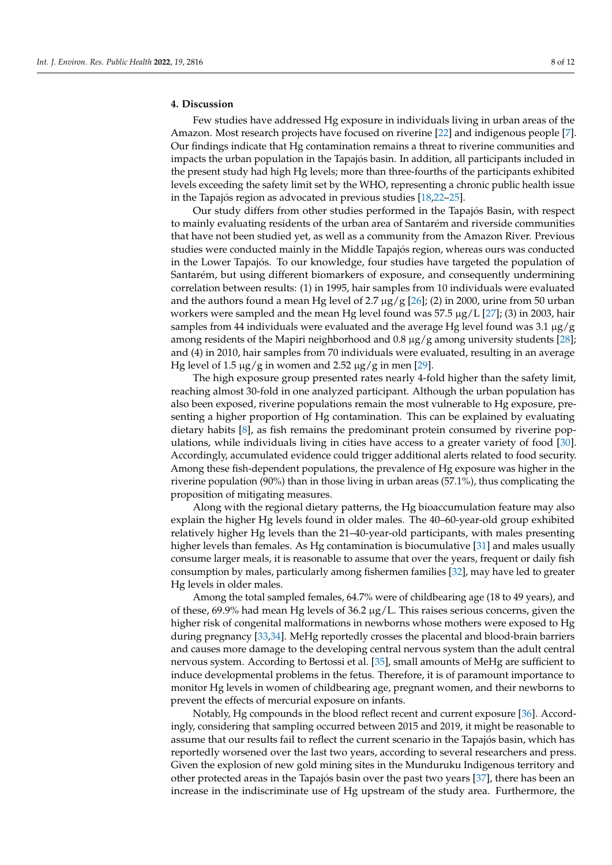### **4. Discussion**

Few studies have addressed Hg exposure in individuals living in urban areas of the Amazon. Most research projects have focused on riverine [\[22\]](#page-10-12) and indigenous people [\[7\]](#page-9-6). Our findings indicate that Hg contamination remains a threat to riverine communities and impacts the urban population in the Tapajós basin. In addition, all participants included in the present study had high Hg levels; more than three-fourths of the participants exhibited levels exceeding the safety limit set by the WHO, representing a chronic public health issue in the Tapajós region as advocated in previous studies [\[18,](#page-10-9)[22](#page-10-12)[–25\]](#page-10-13).

Our study differs from other studies performed in the Tapajós Basin, with respect to mainly evaluating residents of the urban area of Santarém and riverside communities that have not been studied yet, as well as a community from the Amazon River. Previous studies were conducted mainly in the Middle Tapajós region, whereas ours was conducted in the Lower Tapajós. To our knowledge, four studies have targeted the population of Santarém, but using different biomarkers of exposure, and consequently undermining correlation between results: (1) in 1995, hair samples from 10 individuals were evaluated and the authors found a mean Hg level of 2.7  $\mu$ g/g [\[26\]](#page-10-14); (2) in 2000, urine from 50 urban workers were sampled and the mean Hg level found was 57.5  $\mu$ g/L [\[27\]](#page-10-15); (3) in 2003, hair samples from 44 individuals were evaluated and the average Hg level found was 3.1  $\mu$ g/g among residents of the Mapiri neighborhood and  $0.8 \mu g/g$  among university students [\[28\]](#page-10-16); and (4) in 2010, hair samples from 70 individuals were evaluated, resulting in an average Hg level of 1.5  $\mu$ g/g in women and 2.52  $\mu$ g/g in men [\[29\]](#page-10-17).

The high exposure group presented rates nearly 4-fold higher than the safety limit, reaching almost 30-fold in one analyzed participant. Although the urban population has also been exposed, riverine populations remain the most vulnerable to Hg exposure, presenting a higher proportion of Hg contamination. This can be explained by evaluating dietary habits [\[8\]](#page-10-0), as fish remains the predominant protein consumed by riverine populations, while individuals living in cities have access to a greater variety of food [\[30\]](#page-10-18). Accordingly, accumulated evidence could trigger additional alerts related to food security. Among these fish-dependent populations, the prevalence of Hg exposure was higher in the riverine population (90%) than in those living in urban areas (57.1%), thus complicating the proposition of mitigating measures.

Along with the regional dietary patterns, the Hg bioaccumulation feature may also explain the higher Hg levels found in older males. The 40–60-year-old group exhibited relatively higher Hg levels than the 21–40-year-old participants, with males presenting higher levels than females. As Hg contamination is biocumulative [\[31\]](#page-10-19) and males usually consume larger meals, it is reasonable to assume that over the years, frequent or daily fish consumption by males, particularly among fishermen families [\[32\]](#page-11-0), may have led to greater Hg levels in older males.

Among the total sampled females, 64.7% were of childbearing age (18 to 49 years), and of these, 69.9% had mean Hg levels of 36.2  $\mu$ g/L. This raises serious concerns, given the higher risk of congenital malformations in newborns whose mothers were exposed to Hg during pregnancy [\[33](#page-11-1)[,34\]](#page-11-2). MeHg reportedly crosses the placental and blood-brain barriers and causes more damage to the developing central nervous system than the adult central nervous system. According to Bertossi et al. [\[35\]](#page-11-3), small amounts of MeHg are sufficient to induce developmental problems in the fetus. Therefore, it is of paramount importance to monitor Hg levels in women of childbearing age, pregnant women, and their newborns to prevent the effects of mercurial exposure on infants.

Notably, Hg compounds in the blood reflect recent and current exposure [\[36\]](#page-11-4). Accordingly, considering that sampling occurred between 2015 and 2019, it might be reasonable to assume that our results fail to reflect the current scenario in the Tapajós basin, which has reportedly worsened over the last two years, according to several researchers and press. Given the explosion of new gold mining sites in the Munduruku Indigenous territory and other protected areas in the Tapajós basin over the past two years [\[37\]](#page-11-5), there has been an increase in the indiscriminate use of Hg upstream of the study area. Furthermore, the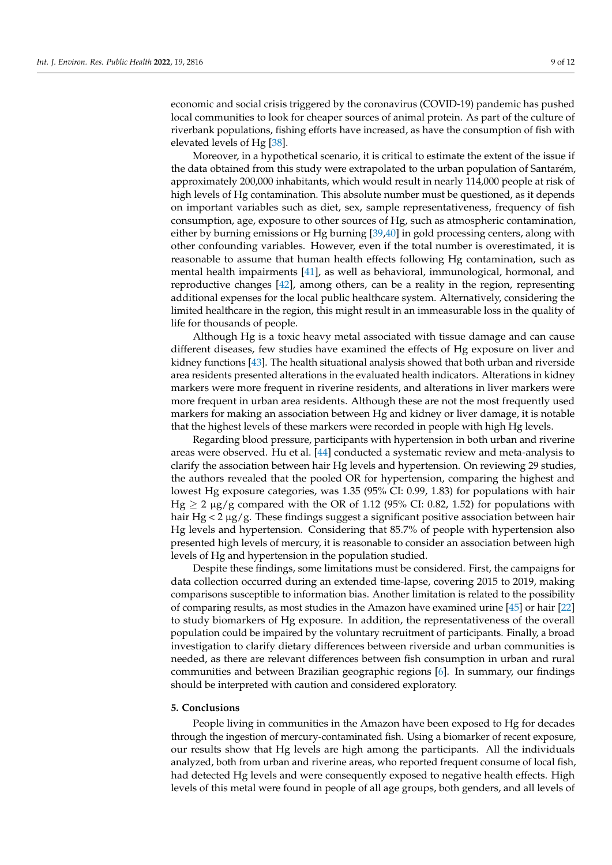economic and social crisis triggered by the coronavirus (COVID-19) pandemic has pushed local communities to look for cheaper sources of animal protein. As part of the culture of riverbank populations, fishing efforts have increased, as have the consumption of fish with elevated levels of Hg [\[38\]](#page-11-6).

Moreover, in a hypothetical scenario, it is critical to estimate the extent of the issue if the data obtained from this study were extrapolated to the urban population of Santarém, approximately 200,000 inhabitants, which would result in nearly 114,000 people at risk of high levels of Hg contamination. This absolute number must be questioned, as it depends on important variables such as diet, sex, sample representativeness, frequency of fish consumption, age, exposure to other sources of Hg, such as atmospheric contamination, either by burning emissions or Hg burning [\[39,](#page-11-7)[40\]](#page-11-8) in gold processing centers, along with other confounding variables. However, even if the total number is overestimated, it is reasonable to assume that human health effects following Hg contamination, such as mental health impairments [\[41\]](#page-11-9), as well as behavioral, immunological, hormonal, and reproductive changes [\[42\]](#page-11-10), among others, can be a reality in the region, representing additional expenses for the local public healthcare system. Alternatively, considering the limited healthcare in the region, this might result in an immeasurable loss in the quality of life for thousands of people.

Although Hg is a toxic heavy metal associated with tissue damage and can cause different diseases, few studies have examined the effects of Hg exposure on liver and kidney functions [\[43\]](#page-11-11). The health situational analysis showed that both urban and riverside area residents presented alterations in the evaluated health indicators. Alterations in kidney markers were more frequent in riverine residents, and alterations in liver markers were more frequent in urban area residents. Although these are not the most frequently used markers for making an association between Hg and kidney or liver damage, it is notable that the highest levels of these markers were recorded in people with high Hg levels.

Regarding blood pressure, participants with hypertension in both urban and riverine areas were observed. Hu et al. [\[44\]](#page-11-12) conducted a systematic review and meta-analysis to clarify the association between hair Hg levels and hypertension. On reviewing 29 studies, the authors revealed that the pooled OR for hypertension, comparing the highest and lowest Hg exposure categories, was 1.35 (95% CI: 0.99, 1.83) for populations with hair  $Hg \ge 2 \mu g/g$  compared with the OR of 1.12 (95% CI: 0.82, 1.52) for populations with hair Hg  $<$  2  $\mu$ g/g. These findings suggest a significant positive association between hair Hg levels and hypertension. Considering that 85.7% of people with hypertension also presented high levels of mercury, it is reasonable to consider an association between high levels of Hg and hypertension in the population studied.

Despite these findings, some limitations must be considered. First, the campaigns for data collection occurred during an extended time-lapse, covering 2015 to 2019, making comparisons susceptible to information bias. Another limitation is related to the possibility of comparing results, as most studies in the Amazon have examined urine [\[45\]](#page-11-13) or hair [\[22\]](#page-10-12) to study biomarkers of Hg exposure. In addition, the representativeness of the overall population could be impaired by the voluntary recruitment of participants. Finally, a broad investigation to clarify dietary differences between riverside and urban communities is needed, as there are relevant differences between fish consumption in urban and rural communities and between Brazilian geographic regions [\[6\]](#page-9-5). In summary, our findings should be interpreted with caution and considered exploratory.

#### **5. Conclusions**

People living in communities in the Amazon have been exposed to Hg for decades through the ingestion of mercury-contaminated fish. Using a biomarker of recent exposure, our results show that Hg levels are high among the participants. All the individuals analyzed, both from urban and riverine areas, who reported frequent consume of local fish, had detected Hg levels and were consequently exposed to negative health effects. High levels of this metal were found in people of all age groups, both genders, and all levels of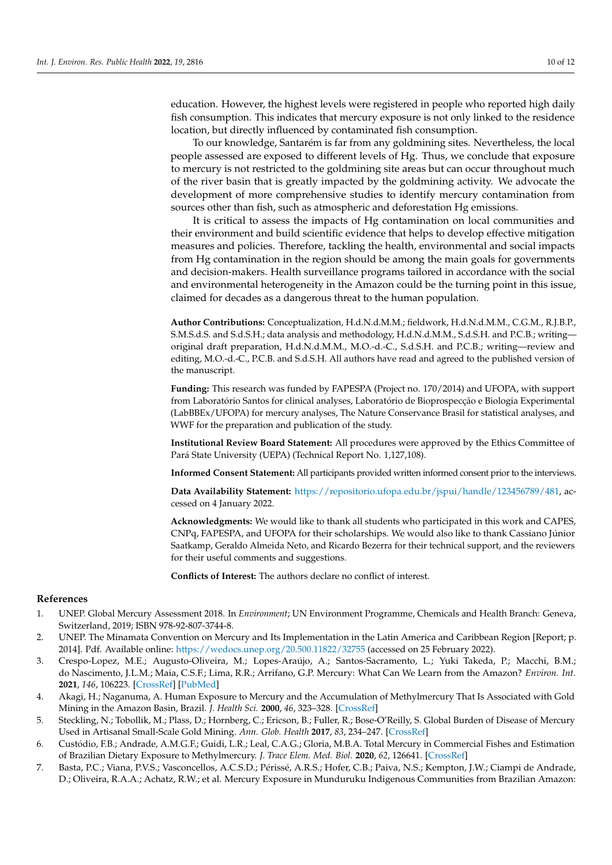education. However, the highest levels were registered in people who reported high daily fish consumption. This indicates that mercury exposure is not only linked to the residence location, but directly influenced by contaminated fish consumption.

To our knowledge, Santarém is far from any goldmining sites. Nevertheless, the local people assessed are exposed to different levels of Hg. Thus, we conclude that exposure to mercury is not restricted to the goldmining site areas but can occur throughout much of the river basin that is greatly impacted by the goldmining activity. We advocate the development of more comprehensive studies to identify mercury contamination from sources other than fish, such as atmospheric and deforestation Hg emissions.

It is critical to assess the impacts of Hg contamination on local communities and their environment and build scientific evidence that helps to develop effective mitigation measures and policies. Therefore, tackling the health, environmental and social impacts from Hg contamination in the region should be among the main goals for governments and decision-makers. Health surveillance programs tailored in accordance with the social and environmental heterogeneity in the Amazon could be the turning point in this issue, claimed for decades as a dangerous threat to the human population.

**Author Contributions:** Conceptualization, H.d.N.d.M.M.; fieldwork, H.d.N.d.M.M., C.G.M., R.J.B.P., S.M.S.d.S. and S.d.S.H.; data analysis and methodology, H.d.N.d.M.M., S.d.S.H. and P.C.B.; writing original draft preparation, H.d.N.d.M.M., M.O.-d.-C., S.d.S.H. and P.C.B.; writing—review and editing, M.O.-d.-C., P.C.B. and S.d.S.H. All authors have read and agreed to the published version of the manuscript.

**Funding:** This research was funded by FAPESPA (Project no. 170/2014) and UFOPA, with support from Laboratório Santos for clinical analyses, Laboratório de Bioprospecção e Biologia Experimental (LabBBEx/UFOPA) for mercury analyses, The Nature Conservance Brasil for statistical analyses, and WWF for the preparation and publication of the study.

**Institutional Review Board Statement:** All procedures were approved by the Ethics Committee of Pará State University (UEPA) (Technical Report No. 1,127,108).

**Informed Consent Statement:** All participants provided written informed consent prior to the interviews.

**Data Availability Statement:** [https://repositorio.ufopa.edu.br/jspui/handle/123456789/481,](https://repositorio.ufopa.edu.br/jspui/handle/123456789/481) accessed on 4 January 2022.

**Acknowledgments:** We would like to thank all students who participated in this work and CAPES, CNPq, FAPESPA, and UFOPA for their scholarships. We would also like to thank Cassiano Júnior Saatkamp, Geraldo Almeida Neto, and Ricardo Bezerra for their technical support, and the reviewers for their useful comments and suggestions.

**Conflicts of Interest:** The authors declare no conflict of interest.

#### **References**

- <span id="page-9-0"></span>1. UNEP. Global Mercury Assessment 2018. In *Environment*; UN Environment Programme, Chemicals and Health Branch: Geneva, Switzerland, 2019; ISBN 978-92-807-3744-8.
- <span id="page-9-1"></span>2. UNEP. The Minamata Convention on Mercury and Its Implementation in the Latin America and Caribbean Region [Report; p. 2014]. Pdf. Available online: <https://wedocs.unep.org/20.500.11822/32755> (accessed on 25 February 2022).
- <span id="page-9-2"></span>3. Crespo-Lopez, M.E.; Augusto-Oliveira, M.; Lopes-Araújo, A.; Santos-Sacramento, L.; Yuki Takeda, P.; Macchi, B.M.; do Nascimento, J.L.M.; Maia, C.S.F.; Lima, R.R.; Arrifano, G.P. Mercury: What Can We Learn from the Amazon? *Environ. Int.* **2021**, *146*, 106223. [\[CrossRef\]](http://doi.org/10.1016/j.envint.2020.106223) [\[PubMed\]](http://www.ncbi.nlm.nih.gov/pubmed/33120229)
- <span id="page-9-3"></span>4. Akagi, H.; Naganuma, A. Human Exposure to Mercury and the Accumulation of Methylmercury That Is Associated with Gold Mining in the Amazon Basin, Brazil. *J. Health Sci.* **2000**, *46*, 323–328. [\[CrossRef\]](http://doi.org/10.1248/jhs.46.323)
- <span id="page-9-4"></span>5. Steckling, N.; Tobollik, M.; Plass, D.; Hornberg, C.; Ericson, B.; Fuller, R.; Bose-O'Reilly, S. Global Burden of Disease of Mercury Used in Artisanal Small-Scale Gold Mining. *Ann. Glob. Health* **2017**, *83*, 234–247. [\[CrossRef\]](http://doi.org/10.1016/j.aogh.2016.12.005)
- <span id="page-9-5"></span>6. Custódio, F.B.; Andrade, A.M.G.F.; Guidi, L.R.; Leal, C.A.G.; Gloria, M.B.A. Total Mercury in Commercial Fishes and Estimation of Brazilian Dietary Exposure to Methylmercury. *J. Trace Elem. Med. Biol.* **2020**, *62*, 126641. [\[CrossRef\]](http://doi.org/10.1016/j.jtemb.2020.126641)
- <span id="page-9-6"></span>7. Basta, P.C.; Viana, P.V.S.; Vasconcellos, A.C.S.D.; Périssé, A.R.S.; Hofer, C.B.; Paiva, N.S.; Kempton, J.W.; Ciampi de Andrade, D.; Oliveira, R.A.A.; Achatz, R.W.; et al. Mercury Exposure in Munduruku Indigenous Communities from Brazilian Amazon: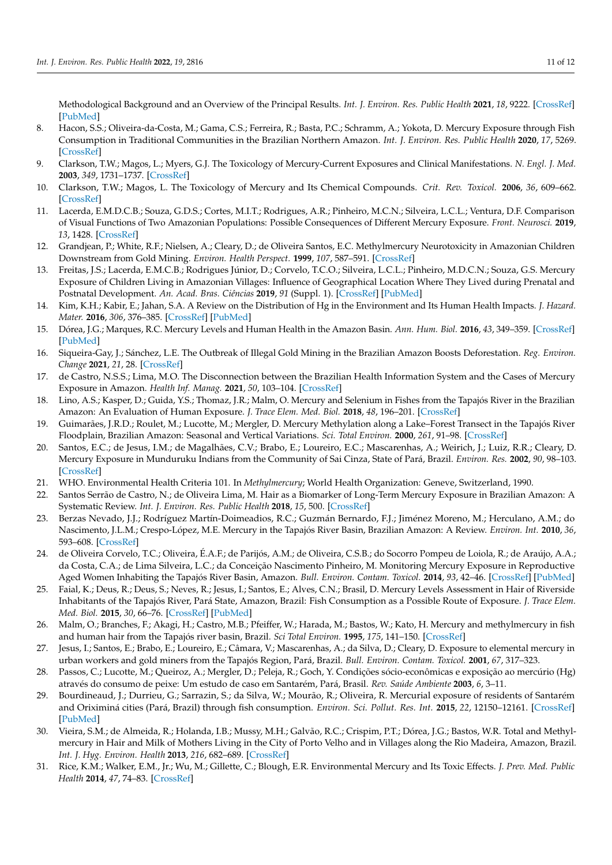Methodological Background and an Overview of the Principal Results. *Int. J. Environ. Res. Public Health* **2021**, *18*, 9222. [\[CrossRef\]](http://doi.org/10.3390/ijerph18179222) [\[PubMed\]](http://www.ncbi.nlm.nih.gov/pubmed/34501811)

- <span id="page-10-0"></span>8. Hacon, S.S.; Oliveira-da-Costa, M.; Gama, C.S.; Ferreira, R.; Basta, P.C.; Schramm, A.; Yokota, D. Mercury Exposure through Fish Consumption in Traditional Communities in the Brazilian Northern Amazon. *Int. J. Environ. Res. Public Health* **2020**, *17*, 5269. [\[CrossRef\]](http://doi.org/10.3390/ijerph17155269)
- <span id="page-10-1"></span>9. Clarkson, T.W.; Magos, L.; Myers, G.J. The Toxicology of Mercury-Current Exposures and Clinical Manifestations. *N. Engl. J. Med.* **2003**, *349*, 1731–1737. [\[CrossRef\]](http://doi.org/10.1056/NEJMra022471)
- 10. Clarkson, T.W.; Magos, L. The Toxicology of Mercury and Its Chemical Compounds. *Crit. Rev. Toxicol.* **2006**, *36*, 609–662. [\[CrossRef\]](http://doi.org/10.1080/10408440600845619)
- <span id="page-10-2"></span>11. Lacerda, E.M.D.C.B.; Souza, G.D.S.; Cortes, M.I.T.; Rodrigues, A.R.; Pinheiro, M.C.N.; Silveira, L.C.L.; Ventura, D.F. Comparison of Visual Functions of Two Amazonian Populations: Possible Consequences of Different Mercury Exposure. *Front. Neurosci.* **2019**, *13*, 1428. [\[CrossRef\]](http://doi.org/10.3389/fnins.2019.01428)
- <span id="page-10-3"></span>12. Grandjean, P.; White, R.F.; Nielsen, A.; Cleary, D.; de Oliveira Santos, E.C. Methylmercury Neurotoxicity in Amazonian Children Downstream from Gold Mining. *Environ. Health Perspect.* **1999**, *107*, 587–591. [\[CrossRef\]](http://doi.org/10.1289/ehp.99107587)
- <span id="page-10-4"></span>13. Freitas, J.S.; Lacerda, E.M.C.B.; Rodrigues Júnior, D.; Corvelo, T.C.O.; Silveira, L.C.L.; Pinheiro, M.D.C.N.; Souza, G.S. Mercury Exposure of Children Living in Amazonian Villages: Influence of Geographical Location Where They Lived during Prenatal and Postnatal Development. *An. Acad. Bras. Ciências* **2019**, *91* (Suppl. 1). [\[CrossRef\]](http://doi.org/10.1590/0001-3765201920180097) [\[PubMed\]](http://www.ncbi.nlm.nih.gov/pubmed/31017187)
- <span id="page-10-5"></span>14. Kim, K.H.; Kabir, E.; Jahan, S.A. A Review on the Distribution of Hg in the Environment and Its Human Health Impacts. *J. Hazard. Mater.* **2016**, *306*, 376–385. [\[CrossRef\]](http://doi.org/10.1016/j.jhazmat.2015.11.031) [\[PubMed\]](http://www.ncbi.nlm.nih.gov/pubmed/26826963)
- <span id="page-10-6"></span>15. Dórea, J.G.; Marques, R.C. Mercury Levels and Human Health in the Amazon Basin. *Ann. Hum. Biol.* **2016**, *43*, 349–359. [\[CrossRef\]](http://doi.org/10.1080/03014460.2016.1192682) [\[PubMed\]](http://www.ncbi.nlm.nih.gov/pubmed/27230737)
- <span id="page-10-7"></span>16. Siqueira-Gay, J.; Sánchez, L.E. The Outbreak of Illegal Gold Mining in the Brazilian Amazon Boosts Deforestation. *Reg. Environ. Change* **2021**, *21*, 28. [\[CrossRef\]](http://doi.org/10.1007/s10113-021-01761-7)
- <span id="page-10-8"></span>17. de Castro, N.S.S.; Lima, M.O. The Disconnection between the Brazilian Health Information System and the Cases of Mercury Exposure in Amazon. *Health Inf. Manag.* **2021**, *50*, 103–104. [\[CrossRef\]](http://doi.org/10.1177/1833358319833063)
- <span id="page-10-9"></span>18. Lino, A.S.; Kasper, D.; Guida, Y.S.; Thomaz, J.R.; Malm, O. Mercury and Selenium in Fishes from the Tapajós River in the Brazilian Amazon: An Evaluation of Human Exposure. *J. Trace Elem. Med. Biol.* **2018**, *48*, 196–201. [\[CrossRef\]](http://doi.org/10.1016/j.jtemb.2018.04.012)
- 19. Guimarães, J.R.D.; Roulet, M.; Lucotte, M.; Mergler, D. Mercury Methylation along a Lake–Forest Transect in the Tapajós River Floodplain, Brazilian Amazon: Seasonal and Vertical Variations. *Sci. Total Environ.* **2000**, *261*, 91–98. [\[CrossRef\]](http://doi.org/10.1016/S0048-9697(00)00627-6)
- <span id="page-10-10"></span>20. Santos, E.C.; de Jesus, I.M.; de Magalhães, C.V.; Brabo, E.; Loureiro, E.C.; Mascarenhas, A.; Weirich, J.; Luiz, R.R.; Cleary, D. Mercury Exposure in Munduruku Indians from the Community of Sai Cinza, State of Pará, Brazil. *Environ. Res.* **2002**, *90*, 98–103. [\[CrossRef\]](http://doi.org/10.1006/enrs.2002.4389)
- <span id="page-10-11"></span>21. WHO. Environmental Health Criteria 101. In *Methylmercury*; World Health Organization: Geneve, Switzerland, 1990.
- <span id="page-10-12"></span>22. Santos Serrão de Castro, N.; de Oliveira Lima, M. Hair as a Biomarker of Long-Term Mercury Exposure in Brazilian Amazon: A Systematic Review. *Int. J. Environ. Res. Public Health* **2018**, *15*, 500. [\[CrossRef\]](http://doi.org/10.3390/ijerph15030500)
- 23. Berzas Nevado, J.J.; Rodríguez Martín-Doimeadios, R.C.; Guzmán Bernardo, F.J.; Jiménez Moreno, M.; Herculano, A.M.; do Nascimento, J.L.M.; Crespo-López, M.E. Mercury in the Tapajós River Basin, Brazilian Amazon: A Review. *Environ. Int.* **2010**, *36*, 593–608. [\[CrossRef\]](http://doi.org/10.1016/j.envint.2010.03.011)
- 24. de Oliveira Corvelo, T.C.; Oliveira, É.A.F.; de Parijós, A.M.; de Oliveira, C.S.B.; do Socorro Pompeu de Loiola, R.; de Araújo, A.A.; da Costa, C.A.; de Lima Silveira, L.C.; da Conceição Nascimento Pinheiro, M. Monitoring Mercury Exposure in Reproductive Aged Women Inhabiting the Tapajós River Basin, Amazon. *Bull. Environ. Contam. Toxicol.* **2014**, *93*, 42–46. [\[CrossRef\]](http://doi.org/10.1007/s00128-014-1279-5) [\[PubMed\]](http://www.ncbi.nlm.nih.gov/pubmed/24789525)
- <span id="page-10-13"></span>25. Faial, K.; Deus, R.; Deus, S.; Neves, R.; Jesus, I.; Santos, E.; Alves, C.N.; Brasil, D. Mercury Levels Assessment in Hair of Riverside Inhabitants of the Tapajós River, Pará State, Amazon, Brazil: Fish Consumption as a Possible Route of Exposure. *J. Trace Elem. Med. Biol.* **2015**, *30*, 66–76. [\[CrossRef\]](http://doi.org/10.1016/j.jtemb.2014.10.009) [\[PubMed\]](http://www.ncbi.nlm.nih.gov/pubmed/25467850)
- <span id="page-10-14"></span>26. Malm, O.; Branches, F.; Akagi, H.; Castro, M.B.; Pfeiffer, W.; Harada, M.; Bastos, W.; Kato, H. Mercury and methylmercury in fish and human hair from the Tapajós river basin, Brazil. *Sci Total Environ.* **1995**, *175*, 141–150. [\[CrossRef\]](http://doi.org/10.1016/0048-9697(95)04910-X)
- <span id="page-10-15"></span>27. Jesus, I.; Santos, E.; Brabo, E.; Loureiro, E.; Câmara, V.; Mascarenhas, A.; da Silva, D.; Cleary, D. Exposure to elemental mercury in urban workers and gold miners from the Tapajós Region, Pará, Brazil. *Bull. Environ. Contam. Toxicol.* **2001**, *67*, 317–323.
- <span id="page-10-16"></span>28. Passos, C.; Lucotte, M.; Queiroz, A.; Mergler, D.; Peleja, R.; Goch, Y. Condições sócio-econômicas e exposição ao mercúrio (Hg) através do consumo de peixe: Um estudo de caso em Santarém, Pará, Brasil. *Rev. Saúde Ambiente* **2003**, *6*, 3–11.
- <span id="page-10-17"></span>29. Bourdineaud, J.; Durrieu, G.; Sarrazin, S.; da Silva, W.; Mourão, R.; Oliveira, R. Mercurial exposure of residents of Santarém and Oriximiná cities (Pará, Brazil) through fish consumption. *Environ. Sci. Pollut. Res. Int.* **2015**, *22*, 12150–12161. [\[CrossRef\]](http://doi.org/10.1007/s11356-015-4502-y) [\[PubMed\]](http://www.ncbi.nlm.nih.gov/pubmed/25893626)
- <span id="page-10-18"></span>30. Vieira, S.M.; de Almeida, R.; Holanda, I.B.; Mussy, M.H.; Galvão, R.C.; Crispim, P.T.; Dórea, J.G.; Bastos, W.R. Total and Methylmercury in Hair and Milk of Mothers Living in the City of Porto Velho and in Villages along the Rio Madeira, Amazon, Brazil. *Int. J. Hyg. Environ. Health* **2013**, *216*, 682–689. [\[CrossRef\]](http://doi.org/10.1016/j.ijheh.2012.12.011)
- <span id="page-10-19"></span>31. Rice, K.M.; Walker, E.M., Jr.; Wu, M.; Gillette, C.; Blough, E.R. Environmental Mercury and Its Toxic Effects. *J. Prev. Med. Public Health* **2014**, *47*, 74–83. [\[CrossRef\]](http://doi.org/10.3961/jpmph.2014.47.2.74)